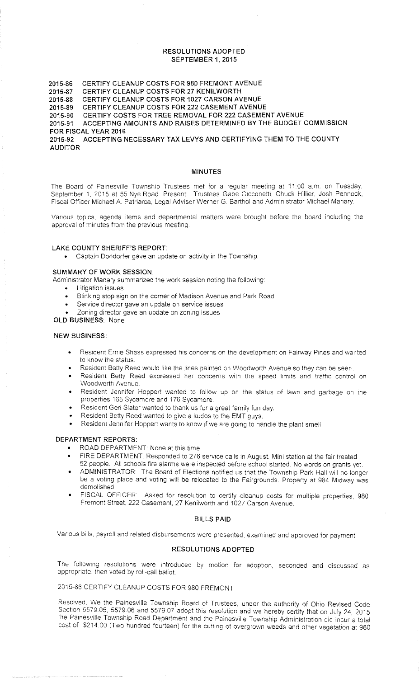#### RESOLUTIONS ADOPTED SEPTEMBER 1, 2015

2015-86 CERTIFY CLEANUP COSTS FOR 980 FREMONT AVENUE<br>2015-87 CERTIFY CLEANUP COSTS FOR 27 KENILWORTH CERTIFY CLEANUP COSTS FOR 27 KENILWORTH 2015-88 CERTIFY CLEANUP COSTS FOR 1027 CARSON AVENUE<br>2015-89 CERTIFY CLEANUP COSTS FOR 222 CASEMENT AVENU<br>2015-90 CERTIFY COSTS FOR TREE REMOVAL FOR 222 CASEMI CERTIFY CLEANUP COSTS FOR 222 CASEMENT AVENUE CERTIFY COSTS FOR TREE REMOVAL FOR 222 CASEMENT AVENUE 2015-91 ACCEPTING AMOUNTS AND RAISES DETERMINED BY THE BUDGET COMMISSION FOR FISCAL YEAR 2016 2015-92 ACCEPTING NECESSARY TAX LEVYS AND CERTIFYING THEM TO THE COUNTY AUDITOR

#### MINUTES

The Board of Painesville Township Trustees met for a regular meeting at 11:00 a.m. on Tuesday, September 1, 2015 at 55 Nye Road. Present: Trustees Gabe Cicconetti, Chuck Hillier, Josh Pennock, Fiscal Officer Michael A Patriarca, Legal Adviser Werner G. Barthol and Administrator Michael Manary.

Various topics, agenda items and departmental matters were brought before the board including the approval of minutes from the previous meeting

#### LAKE COUNTY SHERIFF'S REPORT

• Captain Dondorfer gave an update on activity 1n the Township.

#### SUMMARY OF WORK SESSION

Administrator Manary summarized the work session noting the following:

- **Litigation issues**
- Blinking stop sign on the corner of Madison Avenue and Park Road
- Service director gave an update on service issues
- Zoning director gave an update on zoning issues

# OLD BUSINESS: None

#### NEW BUSINESS:

- Resident Ernie Shass expressed his concerns on the development on Fairway Pines and wanted to know the status.
- Resident Betty Reed would like the lines painted on Woodworth Avenue so they can be seen.
- Resident Betty Reed expressed her concerns with the speed limits and traffic control on Woodworth Avenue.
- Resident Jennifer Hoppert wanted to follow up on the status of iawn and garbage on the properties 165 Sycamore and 176 Sycamore.
- Resident Geri Slater wanted to thank us for a great family fun day.
- Resident Betty Reed wanted to give a kudos to the EMT guys.
- Resident Jennifer Hoppert wants to know if we are going to handle the plant smell.

#### DEPARTMENT REPORTS:

- ROAD DEPARTMENT: None at this time
- FIRE DEPARTMENT: Responded to 276 service calls in August. Mini station at the fair treated 52 people. All schools fire alarms were inspected before school started. No words on grants yet
- ADMINISTRATOR: The Board of Elections notified us that the Township Park Hall will no longer be a voting place and voting will be relocated to the Fairgrounds. Property at 984 Midway was demolished.
- FISCAL OFFICER· Asked for resolution to certify cleanup costs for multiple properties, 980 Fremont Street, 222 Casement, 27 Kenilworth and 1027 Carson Avenue.

#### BILLS PAID

Various bills. payroll and related disbursements were presented. examined and approved for payment

#### RESOLUTIONS ADOPTED

The follow:ng resolutions were introduced by motion for adoption. seconded and discussed as appropriate, then voted by roll-call ballot.

## 2015-86 CERTIFY CLEANUP COSTS FOR 980 FREMONT

Resolved, We the Painesville Township Board of Trustees, under the authority of Ohio Revised Code Section 5579 05, 5579 06 and 5579.07 adopt this resolution and we hereby certify that on July 24, 2015 the Painesville Township Road Department and the Painesville Township Administration did incur a total cost of \$214.00 (Two hundred fourteen) for the cutting of overgrown weeds and other vegetation at 980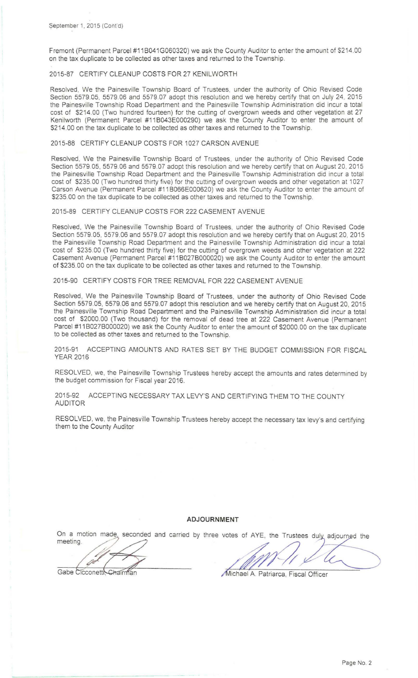Fremont (Permanent Parcel #11 B041 G060320) we ask the County Auditor to enter the amount of \$214.00 on the tax duplicate to be collected as other taxes and returned to the Township.

### 2015-87 CERTIFY CLEANUP COSTS FOR 27 KENILWORTH

Resolved, We the Painesville Township Board of Trustees, under the authority of Ohio Revised Code Section 5579.05, 5579.06 and 5579.07 adopt this resolution and we hereby certify that on July 24, 2015 the Painesville Township Road Department and the Painesville Township Administration did incur a total cost of \$214.00 (Two hundred fourteen) for the cutting of overgrown weeds and other vegetation at 27 Kenilworth (Permanent Parcel #11 B043E000290) we ask the County Auditor to enter the amount of \$214.00 on the tax duplicate to be collected as other taxes and returned to the Township.

#### 2015-88 CERTIFY CLEANUP COSTS FOR 1027 CARSON AVENUE

Resolved, We the Painesville Township Board of Trustees, under the authority of Ohio Revised Code Section 5579.05, 5579.06 and 5579.07 adopt this resolution and we hereby certify that on August 20, 2015 the Painesville Township Road Department and the Painesville Township Administration did incur a total cost of \$235.00 (Two hundred thirty five) for the cutting of overgrown weeds and other vegetation at 1027 Carson Avenue (Permanent Parcel #11 B066E000620) we ask the County Auditor to enter the amount of \$235.00 on the tax duplicate to be collected as other taxes and returned to the Township.

#### 2015-89 CERTIFY CLEANUP COSTS FOR 222 CASEMENT AVENUE

Resolved, We the Painesville Township Board of Trustees, under the authority of Ohio Revised Code Section 5579.05, 5579.06 and 5579.07 adopt this resolution and we hereby certify that on August 20, 2015 the Painesville Township Road Department and the Painesville Township Administration did incur a total cost of \$235.00 (Two hundred thirty five) for the cutting of overgrown weeds and other vegetation at 222 Casement Avenue (Permanent Parcel #1180278000020) we ask the County Auditor to enter the amount of \$235.00 on the tax duplicate to be collected as other taxes and returned to the Township.

#### 2015-90 CERTIFY COSTS FOR TREE REMOVAL FOR 222 CASEMENT AVENUE

Resolved, We the Painesville Township Board of Trustees, under the authority of Ohio Revised Code Section 5579.05, 5579.06 and 5579.07 adopt this resolution and we hereby certify that on August 20, 2015 the Painesville Township Road Department and the Painesville Township Administration did incur a total cost of \$2000.00 (Two thousand) for the removal of dead tree at 222 Casement Avenue (Permanent Parcel #1180278000020) we ask the County Auditor to enter the amount of \$2000.00 on the tax duplicate to be collected as other taxes and returned to the Township.

2015-91 ACCEPTING AMOUNTS AND RATES SET BY THE BUDGET COMMISSION FOR FISCAL YEAR 2016

RESOLVED, we, the Painesville Township Trustees hereby accept the amounts and rates determined by the budget commission for Fiscal year 2016.

2015-92 ACCEPTING NECESSARY TAX LEVY'S AND CERTIFYING THEM TO THE COUNTY AUDITOR

RESOLVED, we, the Painesville Township Trustees hereby accept the necessary tax levy's and certifying them to the County Auditor

#### **ADJOURNMENT**

On a motion made, seconded and carried by three votes of AYE, the Trustees duly adjourned the meeting.

P

Gabe Cicconettl, Chairman

Michael A. Patriarca, Fiscal Officer

Page No. 2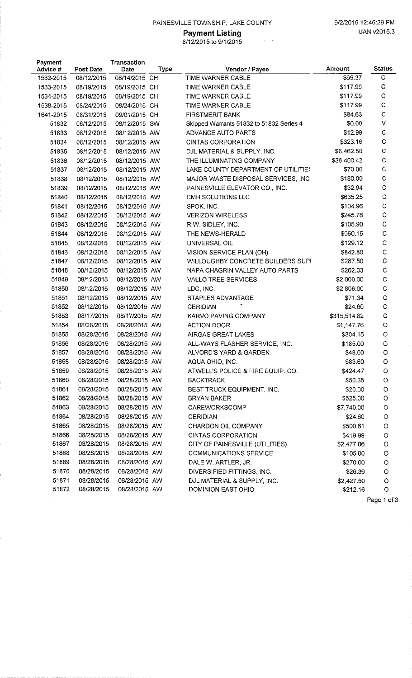## PAINESVILLE TOWNSHIP, LAKE COUNTY 9/2/2015 12:46:29 PM

# **Payment Listing**  UAN v2015.3

8/1212015 to 9/1 /2015

| Payment   |            | Transaction   |      |                                          |              |              |
|-----------|------------|---------------|------|------------------------------------------|--------------|--------------|
| Advice #  | Post Date  | Date          | Type | Vendor / Payee                           | Amount       | Status       |
| 1532-2015 | 08/12/2015 | 08/14/2015 CH |      | TIME WARNER CABLE                        | \$69.37      | С            |
| 1533-2015 | 08/19/2015 | 08/19/2015 CH |      | TIME WARNER CABLE                        | \$117.99     | $\mathsf{C}$ |
| 1534-2015 | 08/19/2015 | 08/19/2015 CH |      | TIME WARNER CABLE                        | \$117.99     | $\mathbf C$  |
| 1538-2015 | 08/24/2015 | 08/24/2015 CH |      | TIME WARNER CABLE                        | \$117.99     | $\mathsf{C}$ |
| 1641-2015 | 08/31/2015 | 09/01/2015 CH |      | <b>FIRSTMERIT BANK</b>                   | \$84.63      | $\mathbf C$  |
| 51832     | 08/12/2015 | 08/12/2015 SW |      | Skipped Warrants 51832 to 51832 Series 4 | \$0.00       | $\vee$       |
| 51833     | 08/12/2015 | 08/12/2015 AW |      | ADVANCE AUTO PARTS                       | \$12.99      | $\mathbf C$  |
| 51834     | 08/12/2015 | 08/12/2015 AW |      | <b>CINTAS CORPORATION</b>                | \$323.16     | $\mathsf C$  |
| 51835     | 08/12/2015 | 08/12/2015 AW |      | DJL MATERIAL & SUPPLY, INC.              | \$6,462.50   | $\mathbf C$  |
| 51836     | 08/12/2015 | 08/12/2015 AW |      | THE ILLUMINATING COMPANY                 | \$36,400.42  | $\mathsf C$  |
| 51837     | 08/12/2015 | 08/12/2015 AW |      | LAKE COUNTY DEPARTMENT OF UTILITIES      | \$70.00      | $\mathbf C$  |
| 51838     | 08/12/2015 | 08/12/2015 AW |      | MAJOR WASTE DISPOSAL SERVICES, INC       | \$180.00     | $\mathsf C$  |
| 51839     | 08/12/2015 | 08/12/2015 AW |      | PAINESVILLE ELEVATOR CO., INC.           | \$32.94      | $\mathsf C$  |
| 51840     | 08/12/2015 | 08/12/2015 AW |      | CMH SOLUTIONS LLC                        | \$635.25     | $\mathsf C$  |
| 51841     | 08/12/2015 | 08/12/2015 AW |      | SPOK, INC.                               | \$104.96     | $\mathsf C$  |
| 51842     | 08/12/2015 | 08/12/2015 AW |      | <b>VERIZON WIRELESS</b>                  | \$245.78     | $\mathsf C$  |
| 51843     | 08/12/2015 | 08/12/2015 AW |      | R.W. SIDLEY, INC.                        | \$105.90     | $\mathsf{C}$ |
| 51844     | 08/12/2015 | 08/12/2015 AW |      | THE NEWS-HERALD                          | \$960.15     | $\mathsf C$  |
| 51845     | 08/12/2015 | 08/12/2015 AW |      | UNIVERSAL OIL                            | \$129.12     | $\mathsf C$  |
| 51846     | 08/12/2015 | 08/12/2015 AW |      | VISION SERVICE PLAN (OH)                 | \$842.80     | $\mathsf C$  |
| 51847     | 08/12/2015 | 08/12/2015 AW |      | WILLOUGHBY CONCRETE BUILDERS SUPI        | \$287.50     | $\mathsf C$  |
| 51848     | 08/12/2015 | 08/12/2015 AW |      | NAPA CHAGRIN VALLEY AUTO PARTS           | \$262.03     | $\mathbf C$  |
| 51849     | 08/12/2015 | 08/12/2015 AW |      | <b>VALLO TREE SERVICES</b>               | \$2,000.00   | $\mathbf C$  |
| 51850     | 08/12/2015 | 08/12/2015 AW |      | LDC, INC.                                | \$2,806.00   | $\mathbf C$  |
| 51851     | 08/12/2015 | 08/12/2015 AW |      | STAPLES ADVANTAGE                        | \$71.34      | $\mathsf C$  |
| 51852     | 08/12/2015 | 08/12/2015 AW |      | <b>CERIDIAN</b>                          | \$24.60      | $\mathbf C$  |
| 51853     | 08/17/2015 | 08/17/2015 AW |      | KARVO PAVING COMPANY                     | \$315,514.82 | $\mathbf C$  |
| 51854     | 08/28/2015 | 08/28/2015 AW |      | ACTION DOOR                              | \$1,147.76   | $\circ$      |
| 51855     | 08/28/2015 | 08/28/2015 AW |      | AIRGAS GREAT LAKES                       | \$304.15     | $\circ$      |
| 51856     | 08/28/2015 | 08/28/2015 AW |      | ALL-WAYS FLASHER SERVICE, INC.           | \$185.00     | $\circ$      |
| 51857     | 08/28/2015 | 08/28/2015 AW |      | ALVORD'S YARD & GARDEN                   | \$48.00      | $\circ$      |
| 51858     | 08/28/2015 | 08/28/2015 AW |      | AQUA OHIO, INC.                          | \$83.60      | O            |
| 51859     | 08/28/2015 | 08/28/2015 AW |      | ATWELL'S POLICE & FIRE EQUIP. CO.        | \$424.47     | O            |
| 51860     | 08/28/2015 | 08/28/2015 AW |      | <b>BACKTRACK</b>                         | \$50.35      | O            |
| 51861     | 08/28/2015 | 08/28/2015 AW |      | BEST TRUCK EQUIPMENT, INC.               | \$20.00      | O            |
| 51862     | 08/28/2015 | 08/28/2015 AW |      | BRYAN BAKER                              | \$525.00     | O            |
| 51863     | 03/28/2015 | 08/28/2015 AW |      | <b>CAREWORKSCOMP</b>                     | \$7,740.00   | О            |
| 51864     | 08/28/2015 | 08/28/2015 AW |      | <b>CERIDIAN</b>                          | \$24.60      | $\circ$      |
| 51865     | 08/28/2015 | 08/28/2015 AW |      | CHARDON OIL COMPANY                      | \$500.61     | O            |
| 51866     | 08/28/2015 | 08/28/2015 AW |      | CINTAS CORPORATION                       | \$419.99     | $\circ$      |
| 51867     | 08/28/2015 | 08/28/2015 AW |      | CITY OF PAINESVILLE (UTILITIES)          | \$2,477.06   | $\circ$      |
| 51868     | 08/28/2015 | 08/28/2015 AW |      | COMMUNICATIONS SERVICE                   | \$105.00     | $\circ$      |
| 51869     | 08/28/2015 | 08/28/2015 AW |      | DALE W. ARTLER, JR.                      | \$270.00     | $\circ$      |
| 51870     | 08/28/2015 | 08/28/2015 AW |      | DIVERSIFIED FITTINGS, INC.               | \$26.39      | $\circ$      |
| 51871     | 08/28/2015 | 08/28/2015 AW |      | DJL MATERIAL & SUPPLY, INC.              | \$2,427.50   | O            |
| 51872     | 08/28/2015 | 08/28/2015 AW |      | DOMINION EAST OHIO                       | \$212.16     | $\circ$      |
|           |            |               |      |                                          |              | Page 1 of 3  |

Page 1 of 3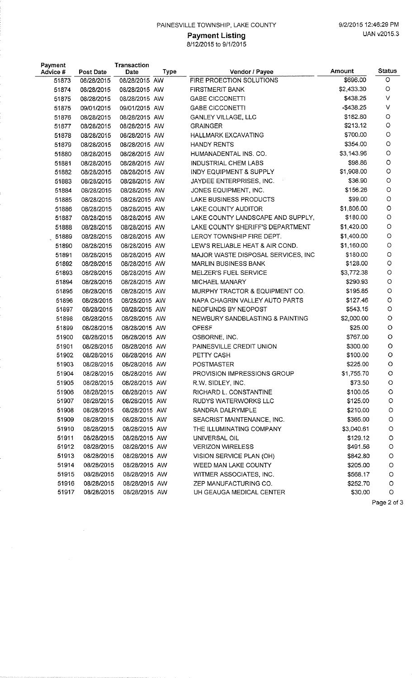## PAINESVILLE TOWNSHIP, LAKE COUNTY 9/2/2015 12:46:29 PM

# 8/12/2015 to 9/1/2015

| Payment<br>Advice # | Post Date  | Transaction<br>Date | <b>Type</b> | Vendor / Payee                     | Amount       | <b>Status</b> |
|---------------------|------------|---------------------|-------------|------------------------------------|--------------|---------------|
| 51873               | 08/28/2015 | 08/28/2015 AW       |             | FIRE PROECTION SOLUTIONS           | \$696.00     | O             |
| 51874               | 08/28/2015 | 08/28/2015 AW       |             | <b>FIRSTMERIT BANK</b>             | \$2,433.30   | O             |
| 51875               | 08/28/2015 | 08/28/2015 AW       |             | <b>GABE CICCONETTI</b>             | \$438.25     | V             |
| 51875               | 09/01/2015 | 09/01/2015 AW       |             | <b>GABE CICCONETTI</b>             | $-$ \$438.25 | V             |
| 51876               | 08/28/2015 | 08/28/2015 AW       |             | <b>GANLEY VILLAGE, LLC</b>         | \$182.80     | $\circ$       |
| 51877               | 08/28/2015 | 08/28/2015 AW       |             | <b>GRAINGER</b>                    | \$213.12     | $\circ$       |
| 51878               | 08/28/2015 | 08/28/2015 AW       |             | <b>HALLMARK EXCAVATING</b>         | \$700.00     | $\circ$       |
| 51879               | 08/28/2015 | 08/28/2015 AW       |             | <b>HANDY RENTS</b>                 | \$354.00     | $\circ$       |
| 51880               | 08/28/2015 | 08/28/2015 AW       |             | HUMANADENTAL INS. CO.              | \$3,143.96   | $\circ$       |
| 51881               | 08/28/2015 | 08/28/2015 AW       |             | INDUSTRIAL CHEM LABS               | \$98.86      | $\circ$       |
| 51882               | 08/28/2015 | 08/28/2015 AW       |             | INDY EQUIPMENT & SUPPLY            | \$1,908.00   | $\circ$       |
| 51883               | 08/28/2015 | 08/28/2015 AW       |             | JAYDEE ENTERPRISES, INC.           | \$36.90      | $\circ$       |
| 51884               | 08/28/2015 | 08/28/2015 AW       |             | JONES EQUIPMENT, INC.              | \$156.26     | $\circ$       |
| 51885               | 08/28/2015 | 08/28/2015 AW       |             | LAKE BUSINESS PRODUCTS             | \$99.00      | O             |
| 51886               | 08/28/2015 | 08/28/2015 AW       |             | LAKE COUNTY AUDITOR                | \$1,806.00   | $\circ$       |
| 51887               | 08/28/2015 | 08/28/2015 AW       |             | LAKE COUNTY LANDSCAPE AND SUPPLY,  | \$180.00     | $\circ$       |
| 51888               | 08/28/2015 | 08/28/2015 AW       |             | LAKE COUNTY SHERIFF'S DEPARTMENT   | \$1,420.00   | $\circ$       |
| 51889               | 08/28/2015 | 08/28/2015 AW       |             | LEROY TOWNSHIP FIRE DEPT.          | \$1,400.00   | $\circ$       |
| 51890               | 08/28/2015 | 08/28/2015 AW       |             | LEW'S RELIABLE HEAT & AIR COND.    | \$1,160.00   | $\circ$       |
| 51891               | 08/28/2015 | 08/28/2015 AW       |             | MAJOR WASTE DISPOSAL SERVICES, INC | \$180.00     | $\circ$       |
| 51892               | 08/28/2015 | 08/28/2015 AW       |             | <b>MARLIN BUSINESS BANK</b>        | \$128.00     | $\circ$       |
| 51893               | 08/28/2015 | 08/28/2015 AW       |             | MELZER'S FUEL SERVICE              | \$3,772.38   | $\circ$       |
| 51894               | 08/28/2015 | 08/28/2015 AW       |             | MICHAEL MANARY                     | \$290.93     | $\circ$       |
| 51895               | 08/28/2015 | 08/28/2015 AW       |             | MURPHY TRACTOR & EQUIPMENT CO.     | \$195.85     | $\circ$       |
| 51896               | 08/28/2015 | 08/28/2015 AW       |             | NAPA CHAGRIN VALLEY AUTO PARTS     | \$127.46     | O             |
| 51897               | 08/28/2015 | 08/28/2015 AW       |             | NEOFUNDS BY NEOPOST                | \$543.15     | O             |
| 51898               | 08/28/2015 | 08/28/2015 AW       |             | NEWBURY SANDBLASTING & PAINTING    | \$2,000.00   | O             |
| 51899               | 08/28/2015 | 08/28/2015 AW       |             | <b>OFESF</b>                       | \$25.00      | O             |
| 51900               | 08/28/2015 | 08/28/2015 AW       |             | OSBORNE, INC.                      | \$767.00     | O             |
| 51901               | 08/28/2015 | 08/28/2015 AW       |             | PAINESVILLE CREDIT UNION           | \$300.00     | O             |
| 51902               | 08/28/2015 | 08/28/2015 AW       |             | PETTY CASH                         | \$100.00     | O             |
| 51903               | 08/28/2015 | 08/28/2015 AW       |             | <b>POSTMASTER</b>                  | \$225.00     | O             |
| 51904               | 08/28/2015 | 08/28/2015 AW       |             | PROVISION IMPRESSIONS GROUP        | \$1,755.70   | O             |
| 51905               | 08/28/2015 | 08/28/2015 AW       |             | R.W. SIDLEY, INC.                  | \$73.50      | $\circ$       |
| 51906               | 08/28/2015 | 08/28/2015 AW       |             | RICHARD L. CONSTANTINE             | \$100.05     | $\circ$       |
| 51907               | 08/28/2015 | 08/28/2015 AW       |             | RUDYS WATERWORKS LLC               | \$125.00     | O             |
| 51908               | 08/28/2015 | 08/28/2015 AW       |             | SANDRA DALRYMPLE                   | \$210.00     | $\circ$       |
| 51909               | 08/28/2015 | 08/28/2015 AW       |             | SEACRIST MAINTENANCE, INC.         | \$365.00     | $\circ$       |
| 51910               | 08/28/2015 | 08/28/2015 AW       |             | THE ILLUMINATING COMPANY           | \$3,040.61   | $\circ$       |
| 51911               | 08/28/2015 | 08/28/2015 AW       |             | UNIVERSAL OIL                      | \$129.12     | $\circ$       |
| 51912               | 08/28/2015 | 08/28/2015 AW       |             | <b>VERIZON WIRELESS</b>            | \$491.56     | $\circ$       |
| 51913               | 08/28/2015 | 08/28/2015 AW       |             | VISION SERVICE PLAN (OH)           | \$842.80     | $\circ$       |
| 51914               | 08/28/2015 | 08/28/2015 AW       |             | WEED MAN LAKE COUNTY               | \$205.00     | $\circ$       |
| 51915               | 08/28/2015 | 08/28/2015 AW       |             | WITMER ASSOCIATES, INC.            | \$568.17     | $\circ$       |
| 51916               | 08/28/2015 | 08/28/2015 AW       |             | ZEP MANUFACTURING CO.              | \$252.70     | $\circ$       |
| 51917               | 08/28/2015 | 08/28/2015 AW       |             | UH GEAUGA MEDICAL CENTER           | \$30.00      | $\circ$       |
|                     |            |                     |             |                                    |              | Page 2 of 3   |

 $\sim$   $\sim$